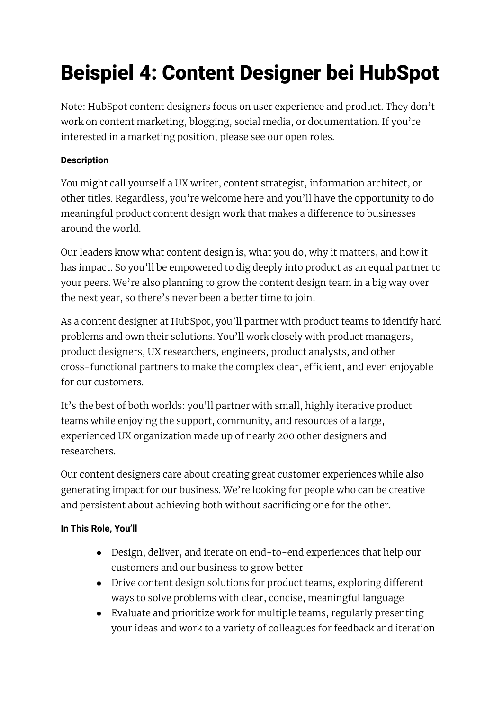# Beispiel 4: Content Designer bei HubSpot

Note: HubSpot content designers focus on user experience and product. They don't work on content marketing, blogging, social media, or documentation. If you're interested in a marketing position, please see our open roles.

### **Description**

You might call yourself a UX writer, content strategist, information architect, or other titles. Regardless, you're welcome here and you'll have the opportunity to do meaningful product content design work that makes a difference to businesses around the world.

Our leaders know what content design is, what you do, why it matters, and how it has impact. So you'll be empowered to dig deeply into product as an equal partner to your peers. We're also planning to grow the content design team in a big way over the next year, so there's never been a better time to join!

As a content designer at HubSpot, you'll partner with product teams to identify hard problems and own their solutions. You'll work closely with product managers, product designers, UX researchers, engineers, product analysts, and other cross-functional partners to make the complex clear, efficient, and even enjoyable for our customers.

It's the best of both worlds: you'll partner with small, highly iterative product teams while enjoying the support, community, and resources of a large, experienced UX organization made up of nearly 200 other designers and researchers.

Our content designers care about creating great customer experiences while also generating impact for our business. We're looking for people who can be creative and persistent about achieving both without sacrificing one for the other.

## **In This Role, You'll**

- Design, deliver, and iterate on end-to-end experiences that help our customers and our business to grow better
- Drive content design solutions for product teams, exploring different ways to solve problems with clear, concise, meaningful language
- Evaluate and prioritize work for multiple teams, regularly presenting your ideas and work to a variety of colleagues for feedback and iteration